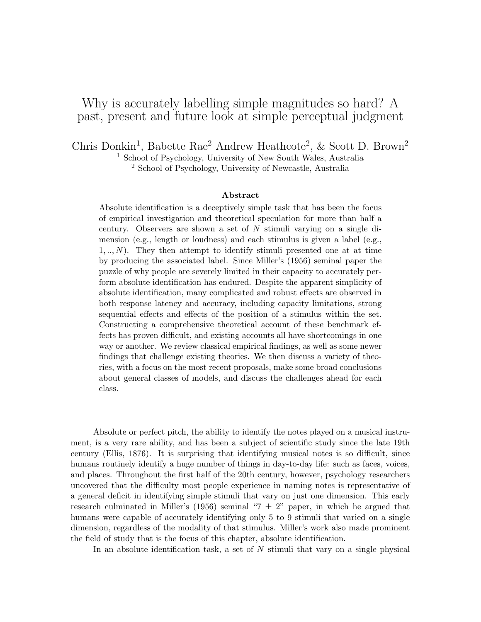# Why is accurately labelling simple magnitudes so hard? A past, present and future look at simple perceptual judgment

Chris Donkin<sup>1</sup>, Babette Rae<sup>2</sup> Andrew Heathcote<sup>2</sup>, & Scott D. Brown<sup>2</sup>

<sup>1</sup> School of Psychology, University of New South Wales, Australia

<sup>2</sup> School of Psychology, University of Newcastle, Australia

# Abstract

Absolute identification is a deceptively simple task that has been the focus of empirical investigation and theoretical speculation for more than half a century. Observers are shown a set of  $N$  stimuli varying on a single dimension (e.g., length or loudness) and each stimulus is given a label (e.g.,  $1, \ldots, N$ . They then attempt to identify stimuli presented one at at time by producing the associated label. Since Miller's (1956) seminal paper the puzzle of why people are severely limited in their capacity to accurately perform absolute identification has endured. Despite the apparent simplicity of absolute identification, many complicated and robust effects are observed in both response latency and accuracy, including capacity limitations, strong sequential effects and effects of the position of a stimulus within the set. Constructing a comprehensive theoretical account of these benchmark effects has proven difficult, and existing accounts all have shortcomings in one way or another. We review classical empirical findings, as well as some newer findings that challenge existing theories. We then discuss a variety of theories, with a focus on the most recent proposals, make some broad conclusions about general classes of models, and discuss the challenges ahead for each class.

Absolute or perfect pitch, the ability to identify the notes played on a musical instrument, is a very rare ability, and has been a subject of scientific study since the late 19th century (Ellis, 1876). It is surprising that identifying musical notes is so difficult, since humans routinely identify a huge number of things in day-to-day life: such as faces, voices, and places. Throughout the first half of the 20th century, however, psychology researchers uncovered that the difficulty most people experience in naming notes is representative of a general deficit in identifying simple stimuli that vary on just one dimension. This early research culminated in Miller's (1956) seminal "7  $\pm$  2" paper, in which he argued that humans were capable of accurately identifying only 5 to 9 stimuli that varied on a single dimension, regardless of the modality of that stimulus. Miller's work also made prominent the field of study that is the focus of this chapter, absolute identification.

In an absolute identification task, a set of  $N$  stimuli that vary on a single physical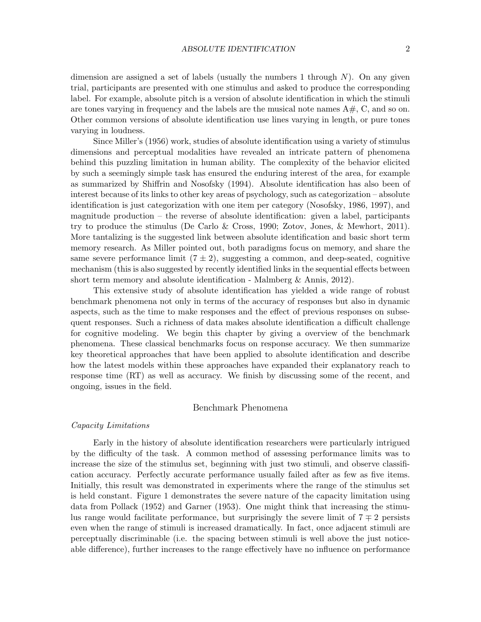dimension are assigned a set of labels (usually the numbers 1 through  $N$ ). On any given trial, participants are presented with one stimulus and asked to produce the corresponding label. For example, absolute pitch is a version of absolute identification in which the stimuli are tones varying in frequency and the labels are the musical note names  $A#$ , C, and so on. Other common versions of absolute identification use lines varying in length, or pure tones varying in loudness.

Since Miller's (1956) work, studies of absolute identification using a variety of stimulus dimensions and perceptual modalities have revealed an intricate pattern of phenomena behind this puzzling limitation in human ability. The complexity of the behavior elicited by such a seemingly simple task has ensured the enduring interest of the area, for example as summarized by Shiffrin and Nosofsky (1994). Absolute identification has also been of interest because of its links to other key areas of psychology, such as categorization – absolute identification is just categorization with one item per category (Nosofsky, 1986, 1997), and magnitude production – the reverse of absolute identification: given a label, participants try to produce the stimulus (De Carlo & Cross, 1990; Zotov, Jones, & Mewhort, 2011). More tantalizing is the suggested link between absolute identification and basic short term memory research. As Miller pointed out, both paradigms focus on memory, and share the same severe performance limit  $(7 \pm 2)$ , suggesting a common, and deep-seated, cognitive mechanism (this is also suggested by recently identified links in the sequential effects between short term memory and absolute identification - Malmberg & Annis, 2012).

This extensive study of absolute identification has yielded a wide range of robust benchmark phenomena not only in terms of the accuracy of responses but also in dynamic aspects, such as the time to make responses and the effect of previous responses on subsequent responses. Such a richness of data makes absolute identification a difficult challenge for cognitive modeling. We begin this chapter by giving a overview of the benchmark phenomena. These classical benchmarks focus on response accuracy. We then summarize key theoretical approaches that have been applied to absolute identification and describe how the latest models within these approaches have expanded their explanatory reach to response time (RT) as well as accuracy. We finish by discussing some of the recent, and ongoing, issues in the field.

# Benchmark Phenomena

## Capacity Limitations

Early in the history of absolute identification researchers were particularly intrigued by the difficulty of the task. A common method of assessing performance limits was to increase the size of the stimulus set, beginning with just two stimuli, and observe classification accuracy. Perfectly accurate performance usually failed after as few as five items. Initially, this result was demonstrated in experiments where the range of the stimulus set is held constant. Figure 1 demonstrates the severe nature of the capacity limitation using data from Pollack (1952) and Garner (1953). One might think that increasing the stimulus range would facilitate performance, but surprisingly the severe limit of  $7 \pm 2$  persists even when the range of stimuli is increased dramatically. In fact, once adjacent stimuli are perceptually discriminable (i.e. the spacing between stimuli is well above the just noticeable difference), further increases to the range effectively have no influence on performance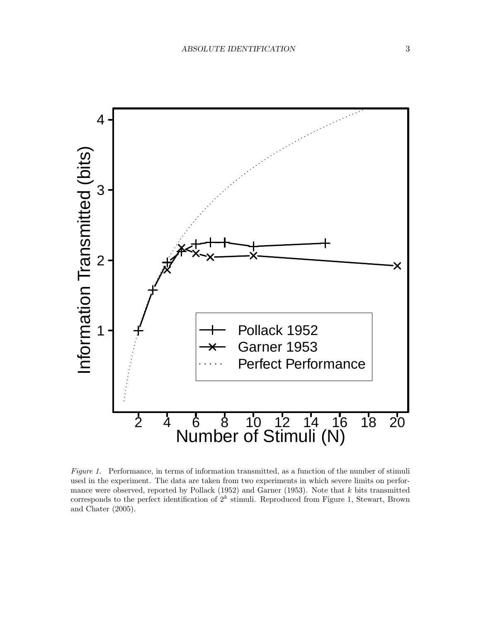

Figure 1. Performance, in terms of information transmitted, as a function of the number of stimuli used in the experiment. The data are taken from two experiments in which severe limits on performance were observed, reported by Pollack  $(1952)$  and Garner  $(1953)$ . Note that k bits transmitted corresponds to the perfect identification of  $2^k$  stimuli. Reproduced from Figure 1, Stewart, Brown and Chater (2005).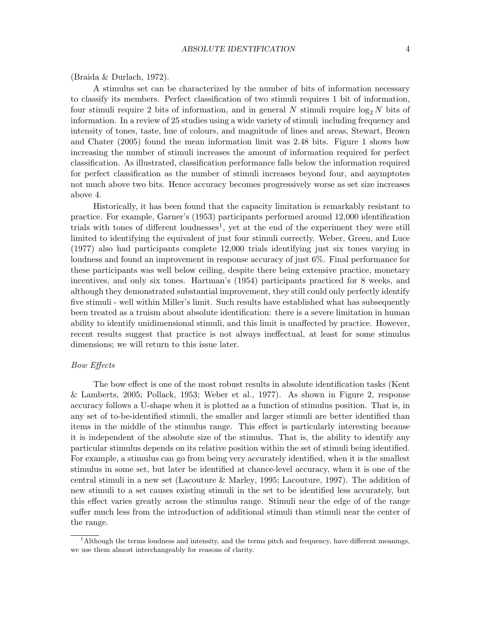(Braida & Durlach, 1972).

A stimulus set can be characterized by the number of bits of information necessary to classify its members. Perfect classification of two stimuli requires 1 bit of information, four stimuli require 2 bits of information, and in general N stimuli require  $log_2 N$  bits of information. In a review of 25 studies using a wide variety of stimuli including frequency and intensity of tones, taste, hue of colours, and magnitude of lines and areas, Stewart, Brown and Chater (2005) found the mean information limit was 2.48 bits. Figure 1 shows how increasing the number of stimuli increases the amount of information required for perfect classification. As illustrated, classification performance falls below the information required for perfect classification as the number of stimuli increases beyond four, and asymptotes not much above two bits. Hence accuracy becomes progressively worse as set size increases above 4.

Historically, it has been found that the capacity limitation is remarkably resistant to practice. For example, Garner's (1953) participants performed around 12,000 identification trials with tones of different loudnesses<sup>1</sup>, yet at the end of the experiment they were still limited to identifying the equivalent of just four stimuli correctly. Weber, Green, and Luce (1977) also had participants complete 12,000 trials identifying just six tones varying in loudness and found an improvement in response accuracy of just 6%. Final performance for these participants was well below ceiling, despite there being extensive practice, monetary incentives, and only six tones. Hartman's (1954) participants practiced for 8 weeks, and although they demonstrated substantial improvement, they still could only perfectly identify five stimuli - well within Miller's limit. Such results have established what has subsequently been treated as a truism about absolute identification: there is a severe limitation in human ability to identify unidimensional stimuli, and this limit is unaffected by practice. However, recent results suggest that practice is not always ineffectual, at least for some stimulus dimensions; we will return to this issue later.

## Bow Effects

The bow effect is one of the most robust results in absolute identification tasks (Kent & Lamberts, 2005; Pollack, 1953; Weber et al., 1977). As shown in Figure 2, response accuracy follows a U-shape when it is plotted as a function of stimulus position. That is, in any set of to-be-identified stimuli, the smaller and larger stimuli are better identified than items in the middle of the stimulus range. This effect is particularly interesting because it is independent of the absolute size of the stimulus. That is, the ability to identify any particular stimulus depends on its relative position within the set of stimuli being identified. For example, a stimulus can go from being very accurately identified, when it is the smallest stimulus in some set, but later be identified at chance-level accuracy, when it is one of the central stimuli in a new set (Lacouture & Marley, 1995; Lacouture, 1997). The addition of new stimuli to a set causes existing stimuli in the set to be identified less accurately, but this effect varies greatly across the stimulus range. Stimuli near the edge of of the range suffer much less from the introduction of additional stimuli than stimuli near the center of the range.

<sup>1</sup>Although the terms loudness and intensity, and the terms pitch and frequency, have different meanings, we use them almost interchangeably for reasons of clarity.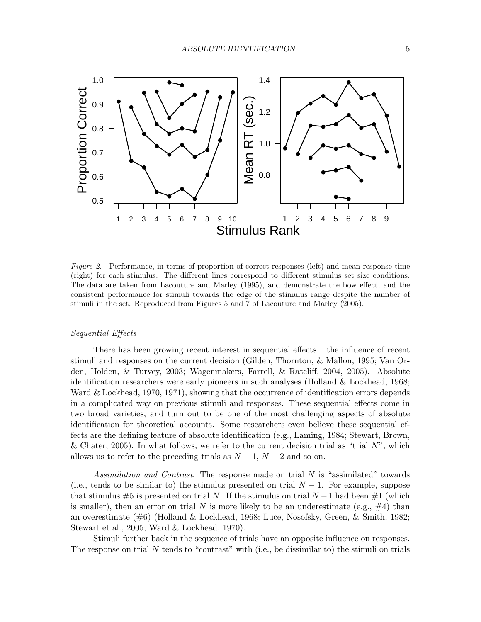

Figure 2. Performance, in terms of proportion of correct responses (left) and mean response time (right) for each stimulus. The different lines correspond to different stimulus set size conditions. The data are taken from Lacouture and Marley (1995), and demonstrate the bow effect, and the consistent performance for stimuli towards the edge of the stimulus range despite the number of stimuli in the set. Reproduced from Figures 5 and 7 of Lacouture and Marley (2005).

#### Sequential Effects

There has been growing recent interest in sequential effects – the influence of recent stimuli and responses on the current decision (Gilden, Thornton, & Mallon, 1995; Van Orden, Holden, & Turvey, 2003; Wagenmakers, Farrell, & Ratcliff, 2004, 2005). Absolute identification researchers were early pioneers in such analyses (Holland & Lockhead, 1968; Ward & Lockhead, 1970, 1971), showing that the occurrence of identification errors depends in a complicated way on previous stimuli and responses. These sequential effects come in two broad varieties, and turn out to be one of the most challenging aspects of absolute identification for theoretical accounts. Some researchers even believe these sequential effects are the defining feature of absolute identification (e.g., Laming, 1984; Stewart, Brown, & Chater, 2005). In what follows, we refer to the current decision trial as "trial  $N$ ", which allows us to refer to the preceding trials as  $N-1$ ,  $N-2$  and so on.

Assimilation and Contrast. The response made on trial N is "assimilated" towards (i.e., tends to be similar to) the stimulus presented on trial  $N-1$ . For example, suppose that stimulus #5 is presented on trial N. If the stimulus on trial  $N-1$  had been #1 (which is smaller), then an error on trial N is more likely to be an underestimate (e.g.,  $\#4$ ) than an overestimate (#6) (Holland & Lockhead, 1968; Luce, Nosofsky, Green, & Smith, 1982; Stewart et al., 2005; Ward & Lockhead, 1970).

Stimuli further back in the sequence of trials have an opposite influence on responses. The response on trial  $N$  tends to "contrast" with (i.e., be dissimilar to) the stimuli on trials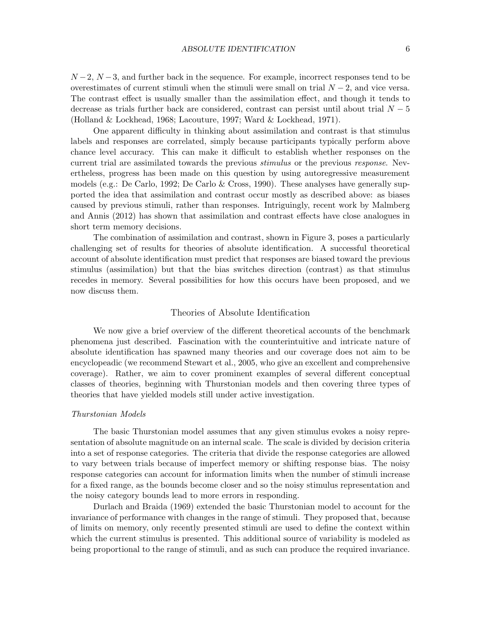$N-2$ ,  $N-3$ , and further back in the sequence. For example, incorrect responses tend to be overestimates of current stimuli when the stimuli were small on trial  $N-2$ , and vice versa. The contrast effect is usually smaller than the assimilation effect, and though it tends to decrease as trials further back are considered, contrast can persist until about trial  $N-5$ (Holland & Lockhead, 1968; Lacouture, 1997; Ward & Lockhead, 1971).

One apparent difficulty in thinking about assimilation and contrast is that stimulus labels and responses are correlated, simply because participants typically perform above chance level accuracy. This can make it difficult to establish whether responses on the current trial are assimilated towards the previous *stimulus* or the previous *response*. Nevertheless, progress has been made on this question by using autoregressive measurement models (e.g.: De Carlo, 1992; De Carlo & Cross, 1990). These analyses have generally supported the idea that assimilation and contrast occur mostly as described above: as biases caused by previous stimuli, rather than responses. Intriguingly, recent work by Malmberg and Annis (2012) has shown that assimilation and contrast effects have close analogues in short term memory decisions.

The combination of assimilation and contrast, shown in Figure 3, poses a particularly challenging set of results for theories of absolute identification. A successful theoretical account of absolute identification must predict that responses are biased toward the previous stimulus (assimilation) but that the bias switches direction (contrast) as that stimulus recedes in memory. Several possibilities for how this occurs have been proposed, and we now discuss them.

## Theories of Absolute Identification

We now give a brief overview of the different theoretical accounts of the benchmark phenomena just described. Fascination with the counterintuitive and intricate nature of absolute identification has spawned many theories and our coverage does not aim to be encyclopeadic (we recommend Stewart et al., 2005, who give an excellent and comprehensive coverage). Rather, we aim to cover prominent examples of several different conceptual classes of theories, beginning with Thurstonian models and then covering three types of theories that have yielded models still under active investigation.

#### Thurstonian Models

The basic Thurstonian model assumes that any given stimulus evokes a noisy representation of absolute magnitude on an internal scale. The scale is divided by decision criteria into a set of response categories. The criteria that divide the response categories are allowed to vary between trials because of imperfect memory or shifting response bias. The noisy response categories can account for information limits when the number of stimuli increase for a fixed range, as the bounds become closer and so the noisy stimulus representation and the noisy category bounds lead to more errors in responding.

Durlach and Braida (1969) extended the basic Thurstonian model to account for the invariance of performance with changes in the range of stimuli. They proposed that, because of limits on memory, only recently presented stimuli are used to define the context within which the current stimulus is presented. This additional source of variability is modeled as being proportional to the range of stimuli, and as such can produce the required invariance.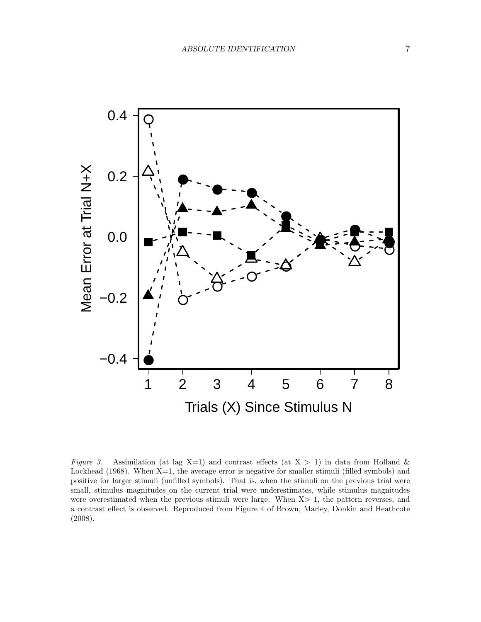

Figure 3. Assimilation (at lag X=1) and contrast effects (at X > 1) in data from Holland & Lockhead (1968). When  $X=1$ , the average error is negative for smaller stimuli (filled symbols) and positive for larger stimuli (unfilled symbols). That is, when the stimuli on the previous trial were small, stimulus magnitudes on the current trial were underestimates, while stimulus magnitudes were overestimated when the previous stimuli were large. When  $X>1$ , the pattern reverses, and a contrast effect is observed. Reproduced from Figure 4 of Brown, Marley, Donkin and Heathcote (2008).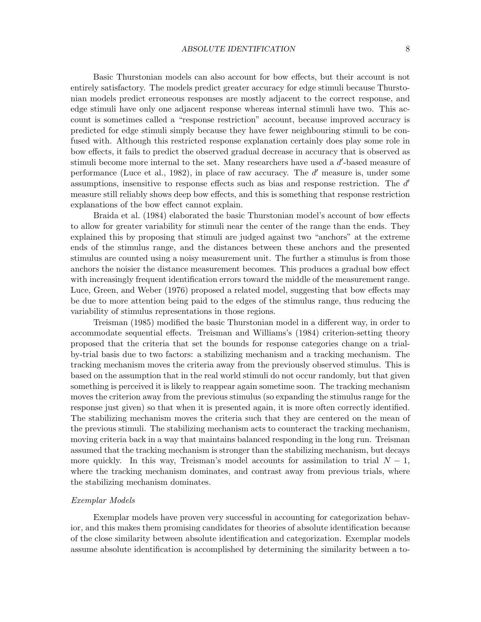Basic Thurstonian models can also account for bow effects, but their account is not entirely satisfactory. The models predict greater accuracy for edge stimuli because Thurstonian models predict erroneous responses are mostly adjacent to the correct response, and edge stimuli have only one adjacent response whereas internal stimuli have two. This account is sometimes called a "response restriction" account, because improved accuracy is predicted for edge stimuli simply because they have fewer neighbouring stimuli to be confused with. Although this restricted response explanation certainly does play some role in bow effects, it fails to predict the observed gradual decrease in accuracy that is observed as stimuli become more internal to the set. Many researchers have used a  $d'$ -based measure of performance (Luce et al., 1982), in place of raw accuracy. The  $d'$  measure is, under some assumptions, insensitive to response effects such as bias and response restriction. The  $d'$ measure still reliably shows deep bow effects, and this is something that response restriction explanations of the bow effect cannot explain.

Braida et al. (1984) elaborated the basic Thurstonian model's account of bow effects to allow for greater variability for stimuli near the center of the range than the ends. They explained this by proposing that stimuli are judged against two "anchors" at the extreme ends of the stimulus range, and the distances between these anchors and the presented stimulus are counted using a noisy measurement unit. The further a stimulus is from those anchors the noisier the distance measurement becomes. This produces a gradual bow effect with increasingly frequent identification errors toward the middle of the measurement range. Luce, Green, and Weber (1976) proposed a related model, suggesting that bow effects may be due to more attention being paid to the edges of the stimulus range, thus reducing the variability of stimulus representations in those regions.

Treisman (1985) modified the basic Thurstonian model in a different way, in order to accommodate sequential effects. Treisman and Williams's (1984) criterion-setting theory proposed that the criteria that set the bounds for response categories change on a trialby-trial basis due to two factors: a stabilizing mechanism and a tracking mechanism. The tracking mechanism moves the criteria away from the previously observed stimulus. This is based on the assumption that in the real world stimuli do not occur randomly, but that given something is perceived it is likely to reappear again sometime soon. The tracking mechanism moves the criterion away from the previous stimulus (so expanding the stimulus range for the response just given) so that when it is presented again, it is more often correctly identified. The stabilizing mechanism moves the criteria such that they are centered on the mean of the previous stimuli. The stabilizing mechanism acts to counteract the tracking mechanism, moving criteria back in a way that maintains balanced responding in the long run. Treisman assumed that the tracking mechanism is stronger than the stabilizing mechanism, but decays more quickly. In this way, Treisman's model accounts for assimilation to trial  $N - 1$ , where the tracking mechanism dominates, and contrast away from previous trials, where the stabilizing mechanism dominates.

## Exemplar Models

Exemplar models have proven very successful in accounting for categorization behavior, and this makes them promising candidates for theories of absolute identification because of the close similarity between absolute identification and categorization. Exemplar models assume absolute identification is accomplished by determining the similarity between a to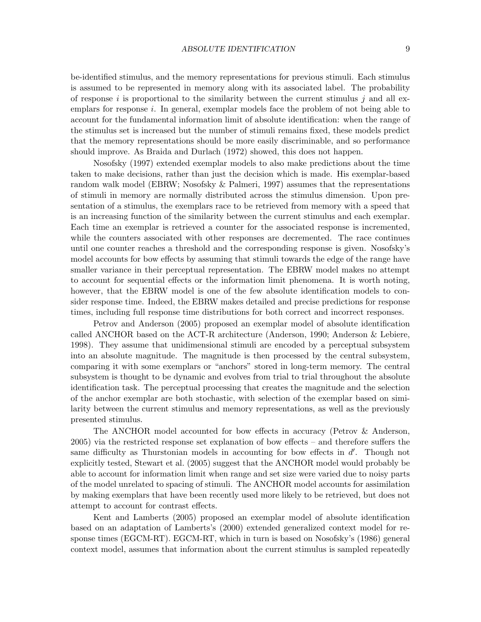be-identified stimulus, and the memory representations for previous stimuli. Each stimulus is assumed to be represented in memory along with its associated label. The probability of response i is proportional to the similarity between the current stimulus j and all exemplars for response i. In general, exemplar models face the problem of not being able to account for the fundamental information limit of absolute identification: when the range of the stimulus set is increased but the number of stimuli remains fixed, these models predict that the memory representations should be more easily discriminable, and so performance should improve. As Braida and Durlach (1972) showed, this does not happen.

Nosofsky (1997) extended exemplar models to also make predictions about the time taken to make decisions, rather than just the decision which is made. His exemplar-based random walk model (EBRW; Nosofsky & Palmeri, 1997) assumes that the representations of stimuli in memory are normally distributed across the stimulus dimension. Upon presentation of a stimulus, the exemplars race to be retrieved from memory with a speed that is an increasing function of the similarity between the current stimulus and each exemplar. Each time an exemplar is retrieved a counter for the associated response is incremented, while the counters associated with other responses are decremented. The race continues until one counter reaches a threshold and the corresponding response is given. Nosofsky's model accounts for bow effects by assuming that stimuli towards the edge of the range have smaller variance in their perceptual representation. The EBRW model makes no attempt to account for sequential effects or the information limit phenomena. It is worth noting, however, that the EBRW model is one of the few absolute identification models to consider response time. Indeed, the EBRW makes detailed and precise predictions for response times, including full response time distributions for both correct and incorrect responses.

Petrov and Anderson (2005) proposed an exemplar model of absolute identification called ANCHOR based on the ACT-R architecture (Anderson, 1990; Anderson & Lebiere, 1998). They assume that unidimensional stimuli are encoded by a perceptual subsystem into an absolute magnitude. The magnitude is then processed by the central subsystem, comparing it with some exemplars or "anchors" stored in long-term memory. The central subsystem is thought to be dynamic and evolves from trial to trial throughout the absolute identification task. The perceptual processing that creates the magnitude and the selection of the anchor exemplar are both stochastic, with selection of the exemplar based on similarity between the current stimulus and memory representations, as well as the previously presented stimulus.

The ANCHOR model accounted for bow effects in accuracy (Petrov & Anderson, 2005) via the restricted response set explanation of bow effects – and therefore suffers the same difficulty as Thurstonian models in accounting for bow effects in  $d'$ . Though not explicitly tested, Stewart et al. (2005) suggest that the ANCHOR model would probably be able to account for information limit when range and set size were varied due to noisy parts of the model unrelated to spacing of stimuli. The ANCHOR model accounts for assimilation by making exemplars that have been recently used more likely to be retrieved, but does not attempt to account for contrast effects.

Kent and Lamberts (2005) proposed an exemplar model of absolute identification based on an adaptation of Lamberts's (2000) extended generalized context model for response times (EGCM-RT). EGCM-RT, which in turn is based on Nosofsky's (1986) general context model, assumes that information about the current stimulus is sampled repeatedly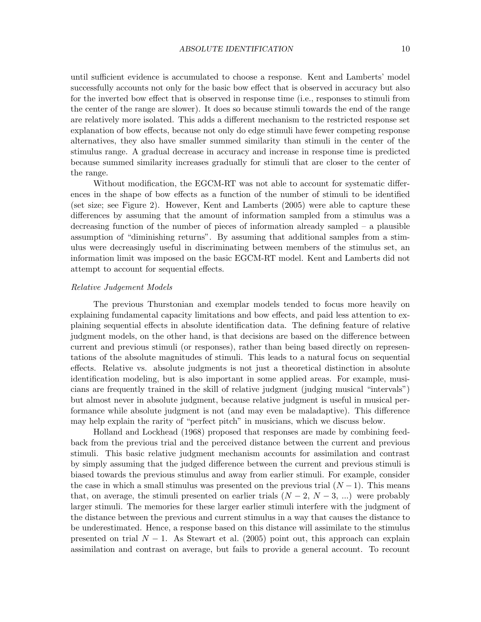until sufficient evidence is accumulated to choose a response. Kent and Lamberts' model successfully accounts not only for the basic bow effect that is observed in accuracy but also for the inverted bow effect that is observed in response time (i.e., responses to stimuli from the center of the range are slower). It does so because stimuli towards the end of the range are relatively more isolated. This adds a different mechanism to the restricted response set explanation of bow effects, because not only do edge stimuli have fewer competing response alternatives, they also have smaller summed similarity than stimuli in the center of the stimulus range. A gradual decrease in accuracy and increase in response time is predicted because summed similarity increases gradually for stimuli that are closer to the center of the range.

Without modification, the EGCM-RT was not able to account for systematic differences in the shape of bow effects as a function of the number of stimuli to be identified (set size; see Figure 2). However, Kent and Lamberts (2005) were able to capture these differences by assuming that the amount of information sampled from a stimulus was a decreasing function of the number of pieces of information already sampled – a plausible assumption of "diminishing returns". By assuming that additional samples from a stimulus were decreasingly useful in discriminating between members of the stimulus set, an information limit was imposed on the basic EGCM-RT model. Kent and Lamberts did not attempt to account for sequential effects.

#### Relative Judgement Models

The previous Thurstonian and exemplar models tended to focus more heavily on explaining fundamental capacity limitations and bow effects, and paid less attention to explaining sequential effects in absolute identification data. The defining feature of relative judgment models, on the other hand, is that decisions are based on the difference between current and previous stimuli (or responses), rather than being based directly on representations of the absolute magnitudes of stimuli. This leads to a natural focus on sequential effects. Relative vs. absolute judgments is not just a theoretical distinction in absolute identification modeling, but is also important in some applied areas. For example, musicians are frequently trained in the skill of relative judgment (judging musical "intervals") but almost never in absolute judgment, because relative judgment is useful in musical performance while absolute judgment is not (and may even be maladaptive). This difference may help explain the rarity of "perfect pitch" in musicians, which we discuss below.

Holland and Lockhead (1968) proposed that responses are made by combining feedback from the previous trial and the perceived distance between the current and previous stimuli. This basic relative judgment mechanism accounts for assimilation and contrast by simply assuming that the judged difference between the current and previous stimuli is biased towards the previous stimulus and away from earlier stimuli. For example, consider the case in which a small stimulus was presented on the previous trial  $(N-1)$ . This means that, on average, the stimuli presented on earlier trials  $(N-2, N-3, ...)$  were probably larger stimuli. The memories for these larger earlier stimuli interfere with the judgment of the distance between the previous and current stimulus in a way that causes the distance to be underestimated. Hence, a response based on this distance will assimilate to the stimulus presented on trial  $N-1$ . As Stewart et al. (2005) point out, this approach can explain assimilation and contrast on average, but fails to provide a general account. To recount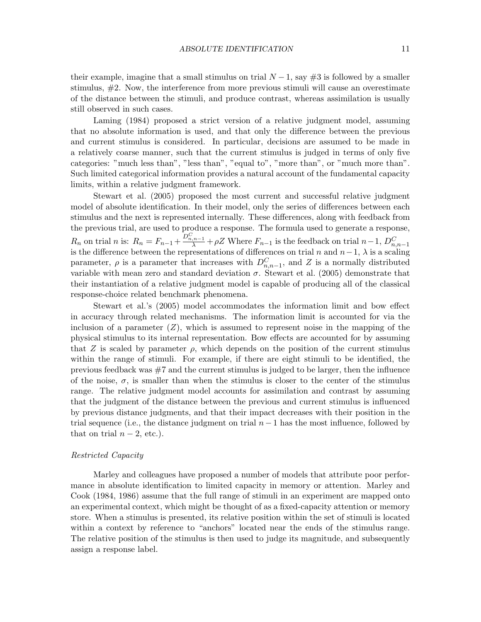their example, imagine that a small stimulus on trial  $N-1$ , say  $\#3$  is followed by a smaller stimulus,  $\#2$ . Now, the interference from more previous stimuli will cause an overestimate of the distance between the stimuli, and produce contrast, whereas assimilation is usually still observed in such cases.

Laming (1984) proposed a strict version of a relative judgment model, assuming that no absolute information is used, and that only the difference between the previous and current stimulus is considered. In particular, decisions are assumed to be made in a relatively coarse manner, such that the current stimulus is judged in terms of only five categories: "much less than", "less than", "equal to", "more than", or "much more than". Such limited categorical information provides a natural account of the fundamental capacity limits, within a relative judgment framework.

Stewart et al. (2005) proposed the most current and successful relative judgment model of absolute identification. In their model, only the series of differences between each stimulus and the next is represented internally. These differences, along with feedback from the previous trial, are used to produce a response. The formula used to generate a response,  $R_n$  on trial n is:  $R_n = F_{n-1} + \frac{D_{n,n-1}^C}{\lambda} + \rho Z$  Where  $F_{n-1}$  is the feedback on trial  $n-1$ ,  $D_{n,n-1}^C$ is the difference between the representations of differences on trial n and  $n-1$ ,  $\lambda$  is a scaling parameter,  $\rho$  is a parameter that increases with  $D_{n,n-1}^C$ , and Z is a normally distributed variable with mean zero and standard deviation  $\sigma$ . Stewart et al. (2005) demonstrate that their instantiation of a relative judgment model is capable of producing all of the classical response-choice related benchmark phenomena.

Stewart et al.'s (2005) model accommodates the information limit and bow effect in accuracy through related mechanisms. The information limit is accounted for via the inclusion of a parameter  $(Z)$ , which is assumed to represent noise in the mapping of the physical stimulus to its internal representation. Bow effects are accounted for by assuming that Z is scaled by parameter  $\rho$ , which depends on the position of the current stimulus within the range of stimuli. For example, if there are eight stimuli to be identified, the previous feedback was #7 and the current stimulus is judged to be larger, then the influence of the noise,  $\sigma$ , is smaller than when the stimulus is closer to the center of the stimulus range. The relative judgment model accounts for assimilation and contrast by assuming that the judgment of the distance between the previous and current stimulus is influenced by previous distance judgments, and that their impact decreases with their position in the trial sequence (i.e., the distance judgment on trial  $n-1$  has the most influence, followed by that on trial  $n-2$ , etc.).

## Restricted Capacity

Marley and colleagues have proposed a number of models that attribute poor performance in absolute identification to limited capacity in memory or attention. Marley and Cook (1984, 1986) assume that the full range of stimuli in an experiment are mapped onto an experimental context, which might be thought of as a fixed-capacity attention or memory store. When a stimulus is presented, its relative position within the set of stimuli is located within a context by reference to "anchors" located near the ends of the stimulus range. The relative position of the stimulus is then used to judge its magnitude, and subsequently assign a response label.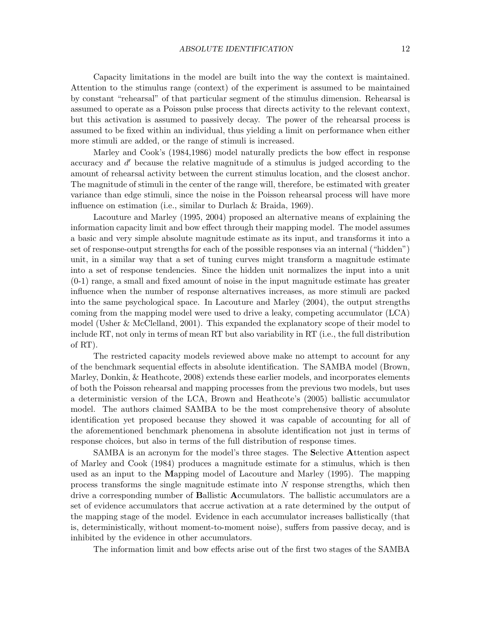Capacity limitations in the model are built into the way the context is maintained. Attention to the stimulus range (context) of the experiment is assumed to be maintained by constant "rehearsal" of that particular segment of the stimulus dimension. Rehearsal is assumed to operate as a Poisson pulse process that directs activity to the relevant context, but this activation is assumed to passively decay. The power of the rehearsal process is assumed to be fixed within an individual, thus yielding a limit on performance when either more stimuli are added, or the range of stimuli is increased.

Marley and Cook's  $(1984, 1986)$  model naturally predicts the bow effect in response accuracy and  $d'$  because the relative magnitude of a stimulus is judged according to the amount of rehearsal activity between the current stimulus location, and the closest anchor. The magnitude of stimuli in the center of the range will, therefore, be estimated with greater variance than edge stimuli, since the noise in the Poisson rehearsal process will have more influence on estimation (i.e., similar to Durlach & Braida, 1969).

Lacouture and Marley (1995, 2004) proposed an alternative means of explaining the information capacity limit and bow effect through their mapping model. The model assumes a basic and very simple absolute magnitude estimate as its input, and transforms it into a set of response-output strengths for each of the possible responses via an internal ("hidden") unit, in a similar way that a set of tuning curves might transform a magnitude estimate into a set of response tendencies. Since the hidden unit normalizes the input into a unit (0-1) range, a small and fixed amount of noise in the input magnitude estimate has greater influence when the number of response alternatives increases, as more stimuli are packed into the same psychological space. In Lacouture and Marley (2004), the output strengths coming from the mapping model were used to drive a leaky, competing accumulator (LCA) model (Usher & McClelland, 2001). This expanded the explanatory scope of their model to include RT, not only in terms of mean RT but also variability in RT (i.e., the full distribution of RT).

The restricted capacity models reviewed above make no attempt to account for any of the benchmark sequential effects in absolute identification. The SAMBA model (Brown, Marley, Donkin, & Heathcote, 2008) extends these earlier models, and incorporates elements of both the Poisson rehearsal and mapping processes from the previous two models, but uses a deterministic version of the LCA, Brown and Heathcote's (2005) ballistic accumulator model. The authors claimed SAMBA to be the most comprehensive theory of absolute identification yet proposed because they showed it was capable of accounting for all of the aforementioned benchmark phenomena in absolute identification not just in terms of response choices, but also in terms of the full distribution of response times.

SAMBA is an acronym for the model's three stages. The Selective Attention aspect of Marley and Cook (1984) produces a magnitude estimate for a stimulus, which is then used as an input to the Mapping model of Lacouture and Marley (1995). The mapping process transforms the single magnitude estimate into  $N$  response strengths, which then drive a corresponding number of Ballistic Accumulators. The ballistic accumulators are a set of evidence accumulators that accrue activation at a rate determined by the output of the mapping stage of the model. Evidence in each accumulator increases ballistically (that is, deterministically, without moment-to-moment noise), suffers from passive decay, and is inhibited by the evidence in other accumulators.

The information limit and bow effects arise out of the first two stages of the SAMBA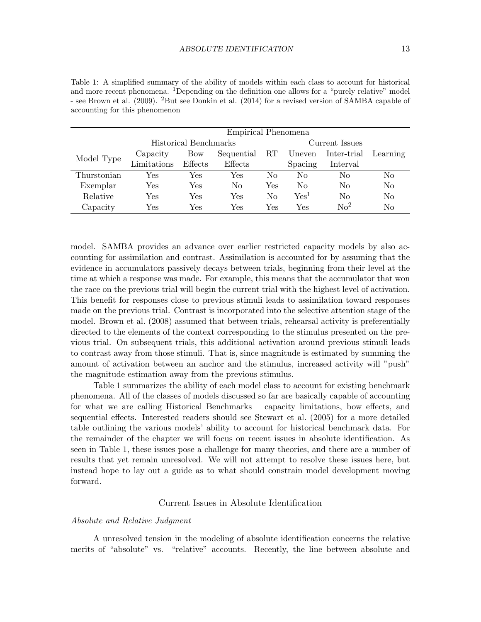|             | Empirical Phenomena   |         |                |                |                    |             |          |
|-------------|-----------------------|---------|----------------|----------------|--------------------|-------------|----------|
|             | Historical Benchmarks |         |                | Current Issues |                    |             |          |
| Model Type  | Capacity              | Bow     | Sequential     | RT.            | Uneven             | Inter-trial | Learning |
|             | Limitations           | Effects | Effects        |                | Spacing            | Interval    |          |
| Thurstonian | Yes                   | Yes     | Yes            | No.            | No                 | No          | No       |
| Exemplar    | Yes                   | Yes     | N <sub>0</sub> | Yes            | No                 | No          | No       |
| Relative    | Yes                   | Yes     | Yes            | No             | $\mathrm{Yes}^{1}$ | No          | No       |
| Capacity    | Yes                   | Yes     | Yes            | Yes            | Yes                | $\rm No^2$  | No       |

Table 1: A simplified summary of the ability of models within each class to account for historical and more recent phenomena. <sup>1</sup>Depending on the definition one allows for a "purely relative" model - see Brown et al. (2009). <sup>2</sup>But see Donkin et al. (2014) for a revised version of SAMBA capable of accounting for this phenomenon

model. SAMBA provides an advance over earlier restricted capacity models by also accounting for assimilation and contrast. Assimilation is accounted for by assuming that the evidence in accumulators passively decays between trials, beginning from their level at the time at which a response was made. For example, this means that the accumulator that won the race on the previous trial will begin the current trial with the highest level of activation. This benefit for responses close to previous stimuli leads to assimilation toward responses made on the previous trial. Contrast is incorporated into the selective attention stage of the model. Brown et al. (2008) assumed that between trials, rehearsal activity is preferentially directed to the elements of the context corresponding to the stimulus presented on the previous trial. On subsequent trials, this additional activation around previous stimuli leads to contrast away from those stimuli. That is, since magnitude is estimated by summing the amount of activation between an anchor and the stimulus, increased activity will "push" the magnitude estimation away from the previous stimulus.

Table 1 summarizes the ability of each model class to account for existing benchmark phenomena. All of the classes of models discussed so far are basically capable of accounting for what we are calling Historical Benchmarks – capacity limitations, bow effects, and sequential effects. Interested readers should see Stewart et al. (2005) for a more detailed table outlining the various models' ability to account for historical benchmark data. For the remainder of the chapter we will focus on recent issues in absolute identification. As seen in Table 1, these issues pose a challenge for many theories, and there are a number of results that yet remain unresolved. We will not attempt to resolve these issues here, but instead hope to lay out a guide as to what should constrain model development moving forward.

## Current Issues in Absolute Identification

### Absolute and Relative Judgment

A unresolved tension in the modeling of absolute identification concerns the relative merits of "absolute" vs. "relative" accounts. Recently, the line between absolute and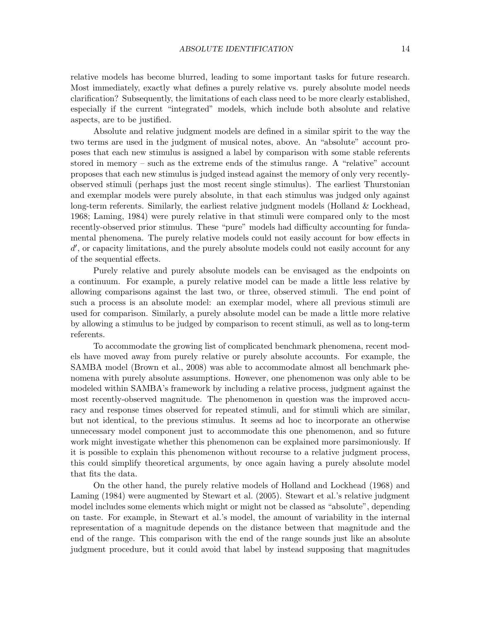relative models has become blurred, leading to some important tasks for future research. Most immediately, exactly what defines a purely relative vs. purely absolute model needs clarification? Subsequently, the limitations of each class need to be more clearly established, especially if the current "integrated" models, which include both absolute and relative aspects, are to be justified.

Absolute and relative judgment models are defined in a similar spirit to the way the two terms are used in the judgment of musical notes, above. An "absolute" account proposes that each new stimulus is assigned a label by comparison with some stable referents stored in memory – such as the extreme ends of the stimulus range. A "relative" account proposes that each new stimulus is judged instead against the memory of only very recentlyobserved stimuli (perhaps just the most recent single stimulus). The earliest Thurstonian and exemplar models were purely absolute, in that each stimulus was judged only against long-term referents. Similarly, the earliest relative judgment models (Holland & Lockhead, 1968; Laming, 1984) were purely relative in that stimuli were compared only to the most recently-observed prior stimulus. These "pure" models had difficulty accounting for fundamental phenomena. The purely relative models could not easily account for bow effects in  $d'$ , or capacity limitations, and the purely absolute models could not easily account for any of the sequential effects.

Purely relative and purely absolute models can be envisaged as the endpoints on a continuum. For example, a purely relative model can be made a little less relative by allowing comparisons against the last two, or three, observed stimuli. The end point of such a process is an absolute model: an exemplar model, where all previous stimuli are used for comparison. Similarly, a purely absolute model can be made a little more relative by allowing a stimulus to be judged by comparison to recent stimuli, as well as to long-term referents.

To accommodate the growing list of complicated benchmark phenomena, recent models have moved away from purely relative or purely absolute accounts. For example, the SAMBA model (Brown et al., 2008) was able to accommodate almost all benchmark phenomena with purely absolute assumptions. However, one phenomenon was only able to be modeled within SAMBA's framework by including a relative process, judgment against the most recently-observed magnitude. The phenomenon in question was the improved accuracy and response times observed for repeated stimuli, and for stimuli which are similar, but not identical, to the previous stimulus. It seems ad hoc to incorporate an otherwise unnecessary model component just to accommodate this one phenomenon, and so future work might investigate whether this phenomenon can be explained more parsimoniously. If it is possible to explain this phenomenon without recourse to a relative judgment process, this could simplify theoretical arguments, by once again having a purely absolute model that fits the data.

On the other hand, the purely relative models of Holland and Lockhead (1968) and Laming (1984) were augmented by Stewart et al. (2005). Stewart et al.'s relative judgment model includes some elements which might or might not be classed as "absolute", depending on taste. For example, in Stewart et al.'s model, the amount of variability in the internal representation of a magnitude depends on the distance between that magnitude and the end of the range. This comparison with the end of the range sounds just like an absolute judgment procedure, but it could avoid that label by instead supposing that magnitudes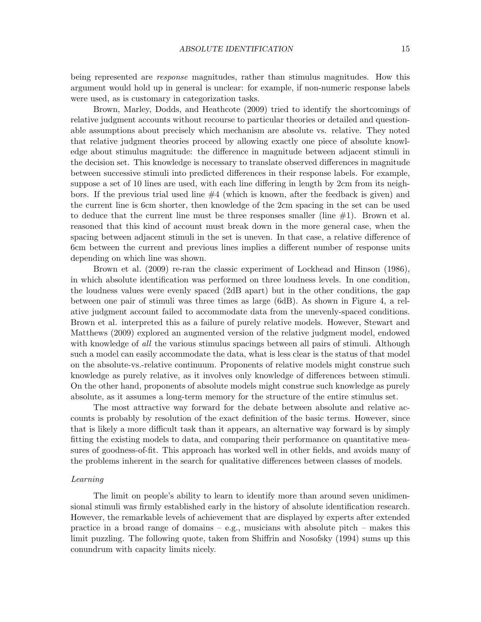being represented are *response* magnitudes, rather than stimulus magnitudes. How this argument would hold up in general is unclear: for example, if non-numeric response labels were used, as is customary in categorization tasks.

Brown, Marley, Dodds, and Heathcote (2009) tried to identify the shortcomings of relative judgment accounts without recourse to particular theories or detailed and questionable assumptions about precisely which mechanism are absolute vs. relative. They noted that relative judgment theories proceed by allowing exactly one piece of absolute knowledge about stimulus magnitude: the difference in magnitude between adjacent stimuli in the decision set. This knowledge is necessary to translate observed differences in magnitude between successive stimuli into predicted differences in their response labels. For example, suppose a set of 10 lines are used, with each line differing in length by 2cm from its neighbors. If the previous trial used line  $#4$  (which is known, after the feedback is given) and the current line is 6cm shorter, then knowledge of the 2cm spacing in the set can be used to deduce that the current line must be three responses smaller (line  $#1$ ). Brown et al. reasoned that this kind of account must break down in the more general case, when the spacing between adjacent stimuli in the set is uneven. In that case, a relative difference of 6cm between the current and previous lines implies a different number of response units depending on which line was shown.

Brown et al. (2009) re-ran the classic experiment of Lockhead and Hinson (1986), in which absolute identification was performed on three loudness levels. In one condition, the loudness values were evenly spaced (2dB apart) but in the other conditions, the gap between one pair of stimuli was three times as large (6dB). As shown in Figure 4, a relative judgment account failed to accommodate data from the unevenly-spaced conditions. Brown et al. interpreted this as a failure of purely relative models. However, Stewart and Matthews (2009) explored an augmented version of the relative judgment model, endowed with knowledge of all the various stimulus spacings between all pairs of stimuli. Although such a model can easily accommodate the data, what is less clear is the status of that model on the absolute-vs.-relative continuum. Proponents of relative models might construe such knowledge as purely relative, as it involves only knowledge of differences between stimuli. On the other hand, proponents of absolute models might construe such knowledge as purely absolute, as it assumes a long-term memory for the structure of the entire stimulus set.

The most attractive way forward for the debate between absolute and relative accounts is probably by resolution of the exact definition of the basic terms. However, since that is likely a more difficult task than it appears, an alternative way forward is by simply fitting the existing models to data, and comparing their performance on quantitative measures of goodness-of-fit. This approach has worked well in other fields, and avoids many of the problems inherent in the search for qualitative differences between classes of models.

#### Learning

The limit on people's ability to learn to identify more than around seven unidimensional stimuli was firmly established early in the history of absolute identification research. However, the remarkable levels of achievement that are displayed by experts after extended practice in a broad range of domains – e.g., musicians with absolute pitch – makes this limit puzzling. The following quote, taken from Shiffrin and Nosofsky (1994) sums up this conundrum with capacity limits nicely.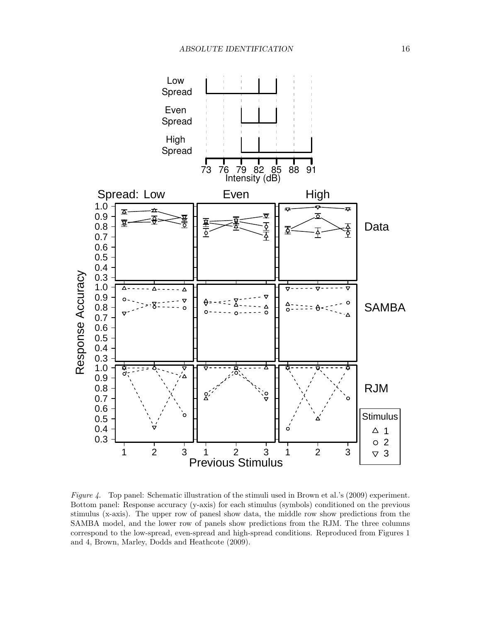

Figure 4. Top panel: Schematic illustration of the stimuli used in Brown et al.'s (2009) experiment. Bottom panel: Response accuracy (y-axis) for each stimulus (symbols) conditioned on the previous stimulus (x-axis). The upper row of panesl show data, the middle row show predictions from the SAMBA model, and the lower row of panels show predictions from the RJM. The three columns correspond to the low-spread, even-spread and high-spread conditions. Reproduced from Figures 1 and 4, Brown, Marley, Dodds and Heathcote (2009).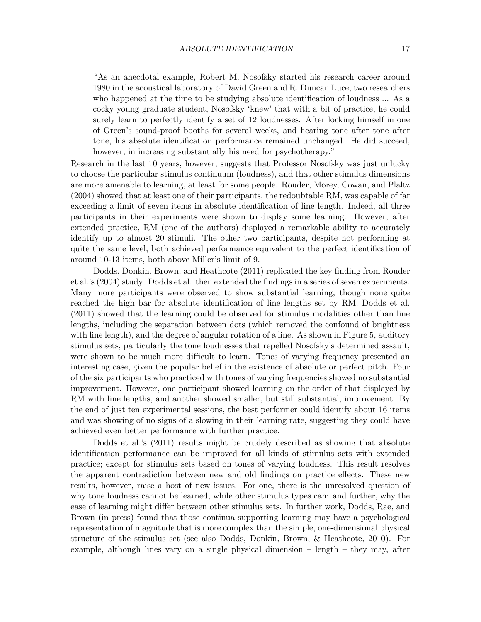"As an anecdotal example, Robert M. Nosofsky started his research career around 1980 in the acoustical laboratory of David Green and R. Duncan Luce, two researchers who happened at the time to be studying absolute identification of loudness ... As a cocky young graduate student, Nosofsky 'knew' that with a bit of practice, he could surely learn to perfectly identify a set of 12 loudnesses. After locking himself in one of Green's sound-proof booths for several weeks, and hearing tone after tone after tone, his absolute identification performance remained unchanged. He did succeed, however, in increasing substantially his need for psychotherapy."

Research in the last 10 years, however, suggests that Professor Nosofsky was just unlucky to choose the particular stimulus continuum (loudness), and that other stimulus dimensions are more amenable to learning, at least for some people. Rouder, Morey, Cowan, and Plaltz (2004) showed that at least one of their participants, the redoubtable RM, was capable of far exceeding a limit of seven items in absolute identification of line length. Indeed, all three participants in their experiments were shown to display some learning. However, after extended practice, RM (one of the authors) displayed a remarkable ability to accurately identify up to almost 20 stimuli. The other two participants, despite not performing at quite the same level, both achieved performance equivalent to the perfect identification of around 10-13 items, both above Miller's limit of 9.

Dodds, Donkin, Brown, and Heathcote (2011) replicated the key finding from Rouder et al.'s (2004) study. Dodds et al. then extended the findings in a series of seven experiments. Many more participants were observed to show substantial learning, though none quite reached the high bar for absolute identification of line lengths set by RM. Dodds et al. (2011) showed that the learning could be observed for stimulus modalities other than line lengths, including the separation between dots (which removed the confound of brightness with line length), and the degree of angular rotation of a line. As shown in Figure 5, auditory stimulus sets, particularly the tone loudnesses that repelled Nosofsky's determined assault, were shown to be much more difficult to learn. Tones of varying frequency presented an interesting case, given the popular belief in the existence of absolute or perfect pitch. Four of the six participants who practiced with tones of varying frequencies showed no substantial improvement. However, one participant showed learning on the order of that displayed by RM with line lengths, and another showed smaller, but still substantial, improvement. By the end of just ten experimental sessions, the best performer could identify about 16 items and was showing of no signs of a slowing in their learning rate, suggesting they could have achieved even better performance with further practice.

Dodds et al.'s (2011) results might be crudely described as showing that absolute identification performance can be improved for all kinds of stimulus sets with extended practice; except for stimulus sets based on tones of varying loudness. This result resolves the apparent contradiction between new and old findings on practice effects. These new results, however, raise a host of new issues. For one, there is the unresolved question of why tone loudness cannot be learned, while other stimulus types can: and further, why the ease of learning might differ between other stimulus sets. In further work, Dodds, Rae, and Brown (in press) found that those continua supporting learning may have a psychological representation of magnitude that is more complex than the simple, one-dimensional physical structure of the stimulus set (see also Dodds, Donkin, Brown, & Heathcote, 2010). For example, although lines vary on a single physical dimension – length – they may, after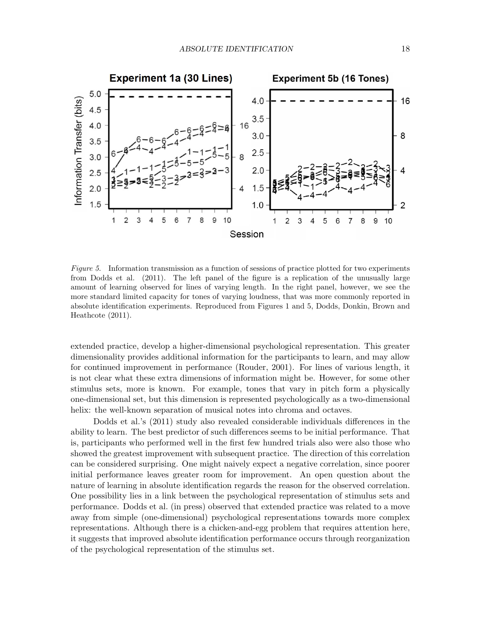

Figure 5. Information transmission as a function of sessions of practice plotted for two experiments from Dodds et al. (2011). The left panel of the figure is a replication of the unusually large amount of learning observed for lines of varying length. In the right panel, however, we see the more standard limited capacity for tones of varying loudness, that was more commonly reported in absolute identification experiments. Reproduced from Figures 1 and 5, Dodds, Donkin, Brown and Heathcote (2011).

extended practice, develop a higher-dimensional psychological representation. This greater dimensionality provides additional information for the participants to learn, and may allow for continued improvement in performance (Rouder, 2001). For lines of various length, it is not clear what these extra dimensions of information might be. However, for some other stimulus sets, more is known. For example, tones that vary in pitch form a physically one-dimensional set, but this dimension is represented psychologically as a two-dimensional helix: the well-known separation of musical notes into chroma and octaves.

Dodds et al.'s (2011) study also revealed considerable individuals differences in the ability to learn. The best predictor of such differences seems to be initial performance. That is, participants who performed well in the first few hundred trials also were also those who showed the greatest improvement with subsequent practice. The direction of this correlation can be considered surprising. One might naively expect a negative correlation, since poorer initial performance leaves greater room for improvement. An open question about the nature of learning in absolute identification regards the reason for the observed correlation. One possibility lies in a link between the psychological representation of stimulus sets and performance. Dodds et al. (in press) observed that extended practice was related to a move away from simple (one-dimensional) psychological representations towards more complex representations. Although there is a chicken-and-egg problem that requires attention here, it suggests that improved absolute identification performance occurs through reorganization of the psychological representation of the stimulus set.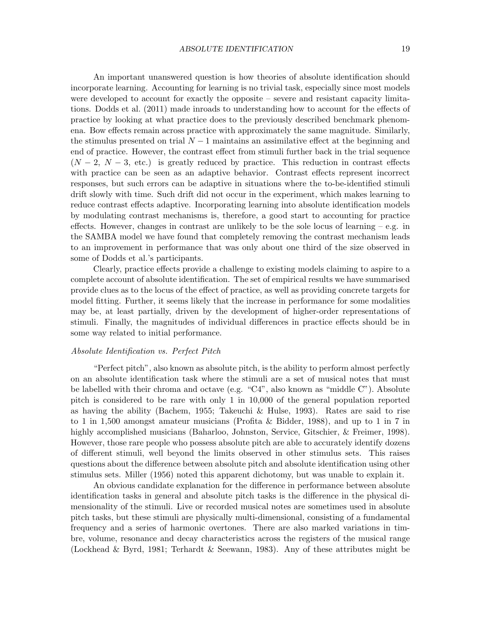An important unanswered question is how theories of absolute identification should incorporate learning. Accounting for learning is no trivial task, especially since most models were developed to account for exactly the opposite – severe and resistant capacity limitations. Dodds et al. (2011) made inroads to understanding how to account for the effects of practice by looking at what practice does to the previously described benchmark phenomena. Bow effects remain across practice with approximately the same magnitude. Similarly, the stimulus presented on trial  $N-1$  maintains an assimilative effect at the beginning and end of practice. However, the contrast effect from stimuli further back in the trial sequence  $(N-2, N-3, \text{ etc.})$  is greatly reduced by practice. This reduction in contrast effects with practice can be seen as an adaptive behavior. Contrast effects represent incorrect responses, but such errors can be adaptive in situations where the to-be-identified stimuli drift slowly with time. Such drift did not occur in the experiment, which makes learning to reduce contrast effects adaptive. Incorporating learning into absolute identification models by modulating contrast mechanisms is, therefore, a good start to accounting for practice effects. However, changes in contrast are unlikely to be the sole locus of learning – e.g. in the SAMBA model we have found that completely removing the contrast mechanism leads to an improvement in performance that was only about one third of the size observed in some of Dodds et al.'s participants.

Clearly, practice effects provide a challenge to existing models claiming to aspire to a complete account of absolute identification. The set of empirical results we have summarised provide clues as to the locus of the effect of practice, as well as providing concrete targets for model fitting. Further, it seems likely that the increase in performance for some modalities may be, at least partially, driven by the development of higher-order representations of stimuli. Finally, the magnitudes of individual differences in practice effects should be in some way related to initial performance.

## Absolute Identification vs. Perfect Pitch

"Perfect pitch", also known as absolute pitch, is the ability to perform almost perfectly on an absolute identification task where the stimuli are a set of musical notes that must be labelled with their chroma and octave (e.g. " $C4$ ", also known as "middle  $C$ "). Absolute pitch is considered to be rare with only 1 in 10,000 of the general population reported as having the ability (Bachem, 1955; Takeuchi & Hulse, 1993). Rates are said to rise to 1 in 1,500 amongst amateur musicians (Profita & Bidder, 1988), and up to 1 in 7 in highly accomplished musicians (Baharloo, Johnston, Service, Gitschier, & Freimer, 1998). However, those rare people who possess absolute pitch are able to accurately identify dozens of different stimuli, well beyond the limits observed in other stimulus sets. This raises questions about the difference between absolute pitch and absolute identification using other stimulus sets. Miller (1956) noted this apparent dichotomy, but was unable to explain it.

An obvious candidate explanation for the difference in performance between absolute identification tasks in general and absolute pitch tasks is the difference in the physical dimensionality of the stimuli. Live or recorded musical notes are sometimes used in absolute pitch tasks, but these stimuli are physically multi-dimensional, consisting of a fundamental frequency and a series of harmonic overtones. There are also marked variations in timbre, volume, resonance and decay characteristics across the registers of the musical range (Lockhead & Byrd, 1981; Terhardt & Seewann, 1983). Any of these attributes might be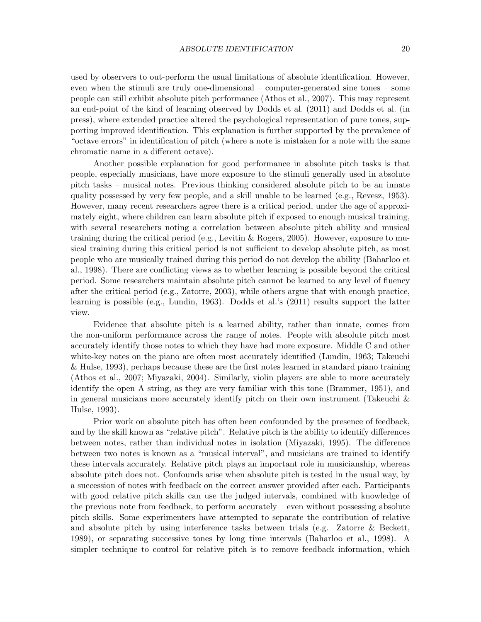used by observers to out-perform the usual limitations of absolute identification. However, even when the stimuli are truly one-dimensional – computer-generated sine tones – some people can still exhibit absolute pitch performance (Athos et al., 2007). This may represent an end-point of the kind of learning observed by Dodds et al. (2011) and Dodds et al. (in press), where extended practice altered the psychological representation of pure tones, supporting improved identification. This explanation is further supported by the prevalence of "octave errors" in identification of pitch (where a note is mistaken for a note with the same chromatic name in a different octave).

Another possible explanation for good performance in absolute pitch tasks is that people, especially musicians, have more exposure to the stimuli generally used in absolute pitch tasks – musical notes. Previous thinking considered absolute pitch to be an innate quality possessed by very few people, and a skill unable to be learned (e.g., Revesz, 1953). However, many recent researchers agree there is a critical period, under the age of approximately eight, where children can learn absolute pitch if exposed to enough musical training, with several researchers noting a correlation between absolute pitch ability and musical training during the critical period (e.g., Levitin & Rogers, 2005). However, exposure to musical training during this critical period is not sufficient to develop absolute pitch, as most people who are musically trained during this period do not develop the ability (Baharloo et al., 1998). There are conflicting views as to whether learning is possible beyond the critical period. Some researchers maintain absolute pitch cannot be learned to any level of fluency after the critical period (e.g., Zatorre, 2003), while others argue that with enough practice, learning is possible (e.g., Lundin, 1963). Dodds et al.'s (2011) results support the latter view.

Evidence that absolute pitch is a learned ability, rather than innate, comes from the non-uniform performance across the range of notes. People with absolute pitch most accurately identify those notes to which they have had more exposure. Middle C and other white-key notes on the piano are often most accurately identified (Lundin, 1963; Takeuchi & Hulse, 1993), perhaps because these are the first notes learned in standard piano training (Athos et al., 2007; Miyazaki, 2004). Similarly, violin players are able to more accurately identify the open A string, as they are very familiar with this tone (Brammer, 1951), and in general musicians more accurately identify pitch on their own instrument (Takeuchi  $\&$ Hulse, 1993).

Prior work on absolute pitch has often been confounded by the presence of feedback, and by the skill known as "relative pitch". Relative pitch is the ability to identify differences between notes, rather than individual notes in isolation (Miyazaki, 1995). The difference between two notes is known as a "musical interval", and musicians are trained to identify these intervals accurately. Relative pitch plays an important role in musicianship, whereas absolute pitch does not. Confounds arise when absolute pitch is tested in the usual way, by a succession of notes with feedback on the correct answer provided after each. Participants with good relative pitch skills can use the judged intervals, combined with knowledge of the previous note from feedback, to perform accurately – even without possessing absolute pitch skills. Some experimenters have attempted to separate the contribution of relative and absolute pitch by using interference tasks between trials (e.g. Zatorre & Beckett, 1989), or separating successive tones by long time intervals (Baharloo et al., 1998). A simpler technique to control for relative pitch is to remove feedback information, which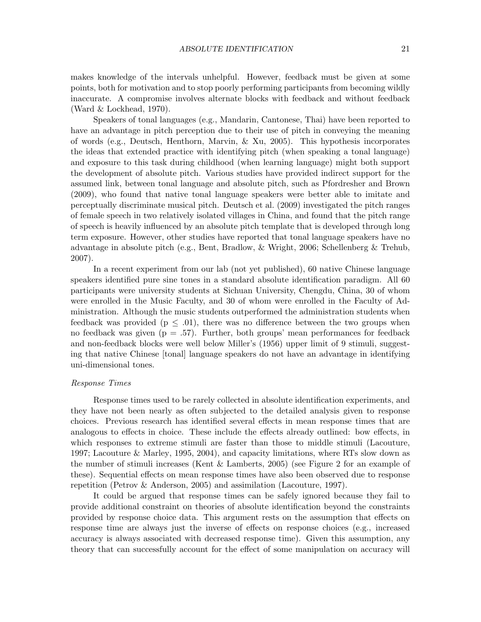makes knowledge of the intervals unhelpful. However, feedback must be given at some points, both for motivation and to stop poorly performing participants from becoming wildly inaccurate. A compromise involves alternate blocks with feedback and without feedback (Ward & Lockhead, 1970).

Speakers of tonal languages (e.g., Mandarin, Cantonese, Thai) have been reported to have an advantage in pitch perception due to their use of pitch in conveying the meaning of words (e.g., Deutsch, Henthorn, Marvin, & Xu, 2005). This hypothesis incorporates the ideas that extended practice with identifying pitch (when speaking a tonal language) and exposure to this task during childhood (when learning language) might both support the development of absolute pitch. Various studies have provided indirect support for the assumed link, between tonal language and absolute pitch, such as Pfordresher and Brown (2009), who found that native tonal language speakers were better able to imitate and perceptually discriminate musical pitch. Deutsch et al. (2009) investigated the pitch ranges of female speech in two relatively isolated villages in China, and found that the pitch range of speech is heavily influenced by an absolute pitch template that is developed through long term exposure. However, other studies have reported that tonal language speakers have no advantage in absolute pitch (e.g., Bent, Bradlow, & Wright, 2006; Schellenberg & Trehub, 2007).

In a recent experiment from our lab (not yet published), 60 native Chinese language speakers identified pure sine tones in a standard absolute identification paradigm. All 60 participants were university students at Sichuan University, Chengdu, China, 30 of whom were enrolled in the Music Faculty, and 30 of whom were enrolled in the Faculty of Administration. Although the music students outperformed the administration students when feedback was provided ( $p \leq .01$ ), there was no difference between the two groups when no feedback was given  $(p = .57)$ . Further, both groups' mean performances for feedback and non-feedback blocks were well below Miller's (1956) upper limit of 9 stimuli, suggesting that native Chinese [tonal] language speakers do not have an advantage in identifying uni-dimensional tones.

#### Response Times

Response times used to be rarely collected in absolute identification experiments, and they have not been nearly as often subjected to the detailed analysis given to response choices. Previous research has identified several effects in mean response times that are analogous to effects in choice. These include the effects already outlined: bow effects, in which responses to extreme stimuli are faster than those to middle stimuli (Lacouture, 1997; Lacouture & Marley, 1995, 2004), and capacity limitations, where RTs slow down as the number of stimuli increases (Kent & Lamberts, 2005) (see Figure 2 for an example of these). Sequential effects on mean response times have also been observed due to response repetition (Petrov & Anderson, 2005) and assimilation (Lacouture, 1997).

It could be argued that response times can be safely ignored because they fail to provide additional constraint on theories of absolute identification beyond the constraints provided by response choice data. This argument rests on the assumption that effects on response time are always just the inverse of effects on response choices (e.g., increased accuracy is always associated with decreased response time). Given this assumption, any theory that can successfully account for the effect of some manipulation on accuracy will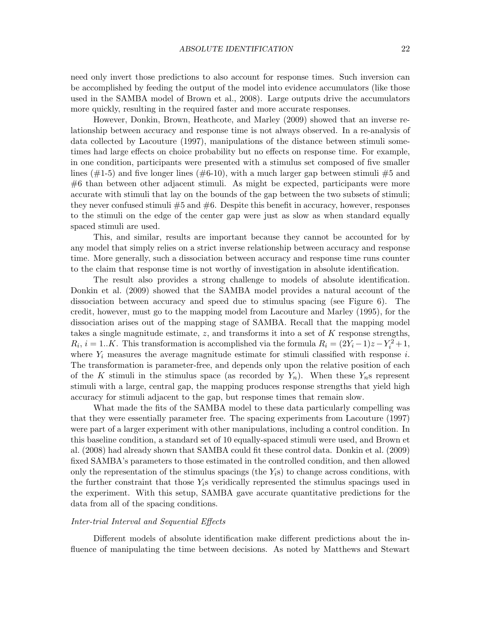need only invert those predictions to also account for response times. Such inversion can be accomplished by feeding the output of the model into evidence accumulators (like those used in the SAMBA model of Brown et al., 2008). Large outputs drive the accumulators more quickly, resulting in the required faster and more accurate responses.

However, Donkin, Brown, Heathcote, and Marley (2009) showed that an inverse relationship between accuracy and response time is not always observed. In a re-analysis of data collected by Lacouture (1997), manipulations of the distance between stimuli sometimes had large effects on choice probability but no effects on response time. For example, in one condition, participants were presented with a stimulus set composed of five smaller lines (#1-5) and five longer lines (#6-10), with a much larger gap between stimuli #5 and #6 than between other adjacent stimuli. As might be expected, participants were more accurate with stimuli that lay on the bounds of the gap between the two subsets of stimuli; they never confused stimuli  $#5$  and  $#6$ . Despite this benefit in accuracy, however, responses to the stimuli on the edge of the center gap were just as slow as when standard equally spaced stimuli are used.

This, and similar, results are important because they cannot be accounted for by any model that simply relies on a strict inverse relationship between accuracy and response time. More generally, such a dissociation between accuracy and response time runs counter to the claim that response time is not worthy of investigation in absolute identification.

The result also provides a strong challenge to models of absolute identification. Donkin et al. (2009) showed that the SAMBA model provides a natural account of the dissociation between accuracy and speed due to stimulus spacing (see Figure 6). The credit, however, must go to the mapping model from Lacouture and Marley (1995), for the dissociation arises out of the mapping stage of SAMBA. Recall that the mapping model takes a single magnitude estimate,  $z$ , and transforms it into a set of  $K$  response strengths,  $R_i$ ,  $i = 1..K$ . This transformation is accomplished via the formula  $R_i = (2Y_i - 1)z - Y_i^2 + 1$ , where  $Y_i$  measures the average magnitude estimate for stimuli classified with response i. The transformation is parameter-free, and depends only upon the relative position of each of the K stimuli in the stimulus space (as recorded by  $Y_n$ ). When these  $Y_n$ s represent stimuli with a large, central gap, the mapping produces response strengths that yield high accuracy for stimuli adjacent to the gap, but response times that remain slow.

What made the fits of the SAMBA model to these data particularly compelling was that they were essentially parameter free. The spacing experiments from Lacouture (1997) were part of a larger experiment with other manipulations, including a control condition. In this baseline condition, a standard set of 10 equally-spaced stimuli were used, and Brown et al. (2008) had already shown that SAMBA could fit these control data. Donkin et al. (2009) fixed SAMBA's parameters to those estimated in the controlled condition, and then allowed only the representation of the stimulus spacings (the  $Y_i$ s) to change across conditions, with the further constraint that those  $Y_i$ s veridically represented the stimulus spacings used in the experiment. With this setup, SAMBA gave accurate quantitative predictions for the data from all of the spacing conditions.

#### Inter-trial Interval and Sequential Effects

Different models of absolute identification make different predictions about the influence of manipulating the time between decisions. As noted by Matthews and Stewart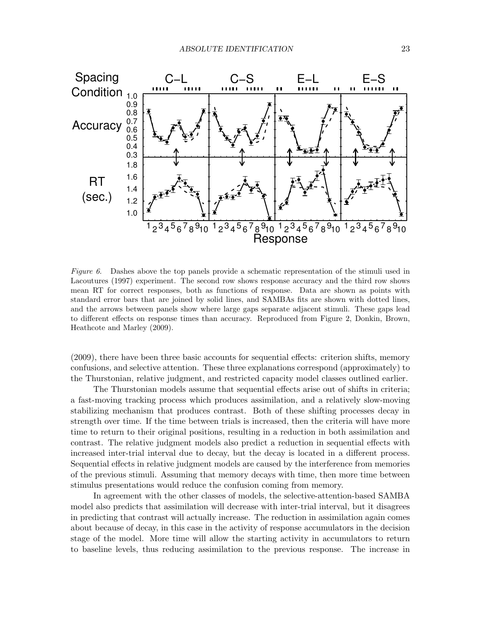

Figure 6. Dashes above the top panels provide a schematic representation of the stimuli used in Lacoutures (1997) experiment. The second row shows response accuracy and the third row shows mean RT for correct responses, both as functions of response. Data are shown as points with standard error bars that are joined by solid lines, and SAMBAs fits are shown with dotted lines, and the arrows between panels show where large gaps separate adjacent stimuli. These gaps lead to different effects on response times than accuracy. Reproduced from Figure 2, Donkin, Brown, Heathcote and Marley (2009).

(2009), there have been three basic accounts for sequential effects: criterion shifts, memory confusions, and selective attention. These three explanations correspond (approximately) to the Thurstonian, relative judgment, and restricted capacity model classes outlined earlier.

The Thurstonian models assume that sequential effects arise out of shifts in criteria; a fast-moving tracking process which produces assimilation, and a relatively slow-moving stabilizing mechanism that produces contrast. Both of these shifting processes decay in strength over time. If the time between trials is increased, then the criteria will have more time to return to their original positions, resulting in a reduction in both assimilation and contrast. The relative judgment models also predict a reduction in sequential effects with increased inter-trial interval due to decay, but the decay is located in a different process. Sequential effects in relative judgment models are caused by the interference from memories of the previous stimuli. Assuming that memory decays with time, then more time between stimulus presentations would reduce the confusion coming from memory.

In agreement with the other classes of models, the selective-attention-based SAMBA model also predicts that assimilation will decrease with inter-trial interval, but it disagrees in predicting that contrast will actually increase. The reduction in assimilation again comes about because of decay, in this case in the activity of response accumulators in the decision stage of the model. More time will allow the starting activity in accumulators to return to baseline levels, thus reducing assimilation to the previous response. The increase in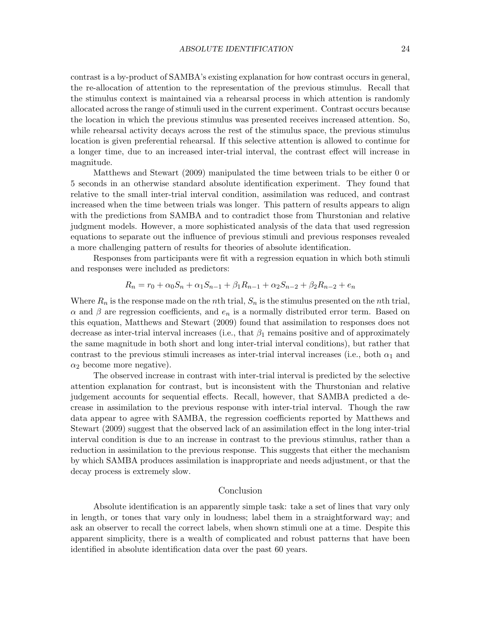contrast is a by-product of SAMBA's existing explanation for how contrast occurs in general, the re-allocation of attention to the representation of the previous stimulus. Recall that the stimulus context is maintained via a rehearsal process in which attention is randomly allocated across the range of stimuli used in the current experiment. Contrast occurs because the location in which the previous stimulus was presented receives increased attention. So, while rehearsal activity decays across the rest of the stimulus space, the previous stimulus location is given preferential rehearsal. If this selective attention is allowed to continue for a longer time, due to an increased inter-trial interval, the contrast effect will increase in magnitude.

Matthews and Stewart (2009) manipulated the time between trials to be either 0 or 5 seconds in an otherwise standard absolute identification experiment. They found that relative to the small inter-trial interval condition, assimilation was reduced, and contrast increased when the time between trials was longer. This pattern of results appears to align with the predictions from SAMBA and to contradict those from Thurstonian and relative judgment models. However, a more sophisticated analysis of the data that used regression equations to separate out the influence of previous stimuli and previous responses revealed a more challenging pattern of results for theories of absolute identification.

Responses from participants were fit with a regression equation in which both stimuli and responses were included as predictors:

$$
R_n = r_0 + \alpha_0 S_n + \alpha_1 S_{n-1} + \beta_1 R_{n-1} + \alpha_2 S_{n-2} + \beta_2 R_{n-2} + e_n
$$

Where  $R_n$  is the response made on the nth trial,  $S_n$  is the stimulus presented on the nth trial,  $\alpha$  and  $\beta$  are regression coefficients, and  $e_n$  is a normally distributed error term. Based on this equation, Matthews and Stewart (2009) found that assimilation to responses does not decrease as inter-trial interval increases (i.e., that  $\beta_1$  remains positive and of approximately the same magnitude in both short and long inter-trial interval conditions), but rather that contrast to the previous stimuli increases as inter-trial interval increases (i.e., both  $\alpha_1$  and  $\alpha_2$  become more negative).

The observed increase in contrast with inter-trial interval is predicted by the selective attention explanation for contrast, but is inconsistent with the Thurstonian and relative judgement accounts for sequential effects. Recall, however, that SAMBA predicted a decrease in assimilation to the previous response with inter-trial interval. Though the raw data appear to agree with SAMBA, the regression coefficients reported by Matthews and Stewart (2009) suggest that the observed lack of an assimilation effect in the long inter-trial interval condition is due to an increase in contrast to the previous stimulus, rather than a reduction in assimilation to the previous response. This suggests that either the mechanism by which SAMBA produces assimilation is inappropriate and needs adjustment, or that the decay process is extremely slow.

## Conclusion

Absolute identification is an apparently simple task: take a set of lines that vary only in length, or tones that vary only in loudness; label them in a straightforward way; and ask an observer to recall the correct labels, when shown stimuli one at a time. Despite this apparent simplicity, there is a wealth of complicated and robust patterns that have been identified in absolute identification data over the past 60 years.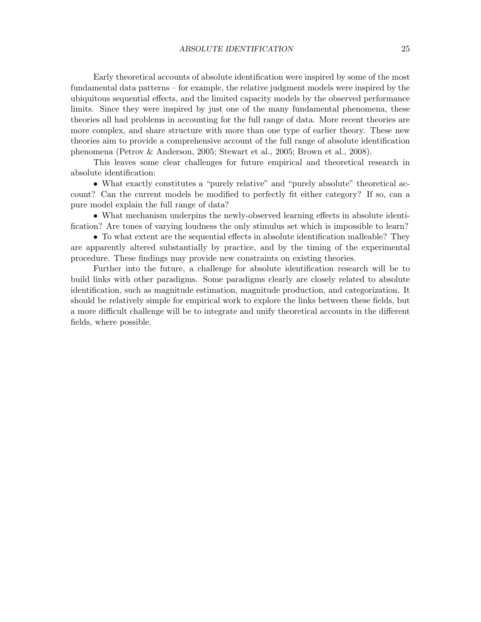Early theoretical accounts of absolute identification were inspired by some of the most fundamental data patterns – for example, the relative judgment models were inspired by the ubiquitous sequential effects, and the limited capacity models by the observed performance limits. Since they were inspired by just one of the many fundamental phenomena, these theories all had problems in accounting for the full range of data. More recent theories are more complex, and share structure with more than one type of earlier theory. These new theories aim to provide a comprehensive account of the full range of absolute identification phenomena (Petrov & Anderson, 2005; Stewart et al., 2005; Brown et al., 2008).

This leaves some clear challenges for future empirical and theoretical research in absolute identification:

• What exactly constitutes a "purely relative" and "purely absolute" theoretical account? Can the current models be modified to perfectly fit either category? If so, can a pure model explain the full range of data?

• What mechanism underpins the newly-observed learning effects in absolute identification? Are tones of varying loudness the only stimulus set which is impossible to learn?

• To what extent are the sequential effects in absolute identification malleable? They are apparently altered substantially by practice, and by the timing of the experimental procedure. These findings may provide new constraints on existing theories.

Further into the future, a challenge for absolute identification research will be to build links with other paradigms. Some paradigms clearly are closely related to absolute identification, such as magnitude estimation, magnitude production, and categorization. It should be relatively simple for empirical work to explore the links between these fields, but a more difficult challenge will be to integrate and unify theoretical accounts in the different fields, where possible.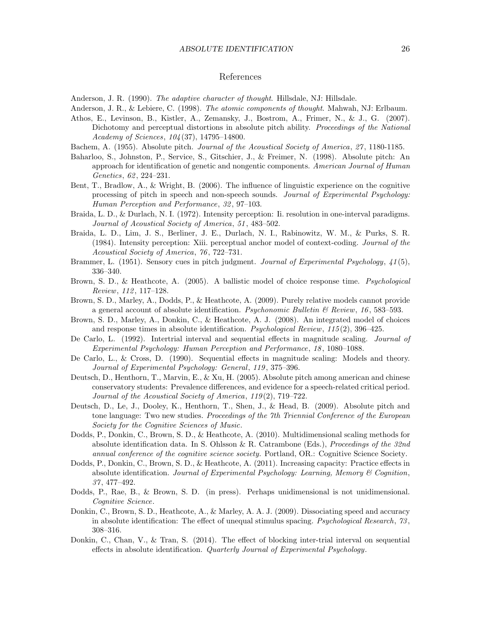# References

Anderson, J. R. (1990). The adaptive character of thought. Hillsdale, NJ: Hillsdale.

- Anderson, J. R., & Lebiere, C. (1998). The atomic components of thought. Mahwah, NJ: Erlbaum.
- Athos, E., Levinson, B., Kistler, A., Zemansky, J., Bostrom, A., Frimer, N., & J., G. (2007). Dichotomy and perceptual distortions in absolute pitch ability. *Proceedings of the National* Academy of Sciences, 104 (37), 14795–14800.
- Bachem, A. (1955). Absolute pitch. Journal of the Acoustical Society of America, 27, 1180-1185.
- Baharloo, S., Johnston, P., Service, S., Gitschier, J., & Freimer, N. (1998). Absolute pitch: An approach for identification of genetic and nongentic components. American Journal of Human Genetics, 62, 224-231.
- Bent, T., Bradlow, A., & Wright, B. (2006). The influence of linguistic experience on the cognitive processing of pitch in speech and non-speech sounds. Journal of Experimental Psychology: Human Perception and Performance, 32, 97-103.
- Braida, L. D., & Durlach, N. I. (1972). Intensity perception: Ii. resolution in one-interval paradigms. Journal of Acoustical Society of America, 51 , 483–502.
- Braida, L. D., Lim, J. S., Berliner, J. E., Durlach, N. I., Rabinowitz, W. M., & Purks, S. R. (1984). Intensity perception: Xiii. perceptual anchor model of context-coding. Journal of the Acoustical Society of America, 76 , 722–731.
- Brammer, L. (1951). Sensory cues in pitch judgment. Journal of Experimental Psychology, 41(5), 336–340.
- Brown, S. D., & Heathcote, A. (2005). A ballistic model of choice response time. Psychological Review, 112, 117-128.
- Brown, S. D., Marley, A., Dodds, P., & Heathcote, A. (2009). Purely relative models cannot provide a general account of absolute identification. Psychonomic Bulletin  $\mathcal B$  Review, 16, 583–593.
- Brown, S. D., Marley, A., Donkin, C., & Heathcote, A. J. (2008). An integrated model of choices and response times in absolute identification. Psychological Review, 115 (2), 396–425.
- De Carlo, L. (1992). Intertrial interval and sequential effects in magnitude scaling. Journal of Experimental Psychology: Human Perception and Performance, 18 , 1080–1088.
- De Carlo, L., & Cross, D. (1990). Sequential effects in magnitude scaling: Models and theory. Journal of Experimental Psychology: General, 119, 375-396.
- Deutsch, D., Henthorn, T., Marvin, E., & Xu, H. (2005). Absolute pitch among american and chinese conservatory students: Prevalence differences, and evidence for a speech-related critical period. Journal of the Acoustical Society of America, 119(2), 719–722.
- Deutsch, D., Le, J., Dooley, K., Henthorn, T., Shen, J., & Head, B. (2009). Absolute pitch and tone language: Two new studies. Proceedings of the 7<sup>th</sup> Triennial Conference of the European Society for the Cognitive Sciences of Music.
- Dodds, P., Donkin, C., Brown, S. D., & Heathcote, A. (2010). Multidimensional scaling methods for absolute identification data. In S. Ohlsson & R. Catrambone (Eds.), Proceedings of the  $32nd$ annual conference of the cognitive science society. Portland, OR.: Cognitive Science Society.
- Dodds, P., Donkin, C., Brown, S. D., & Heathcote, A. (2011). Increasing capacity: Practice effects in absolute identification. Journal of Experimental Psychology: Learning, Memory & Cognition, 37 , 477–492.
- Dodds, P., Rae, B., & Brown, S. D. (in press). Perhaps unidimensional is not unidimensional. Cognitive Science.
- Donkin, C., Brown, S. D., Heathcote, A., & Marley, A. A. J. (2009). Dissociating speed and accuracy in absolute identification: The effect of unequal stimulus spacing. Psychological Research,  $73$ , 308–316.
- Donkin, C., Chan, V., & Tran, S. (2014). The effect of blocking inter-trial interval on sequential effects in absolute identification. Quarterly Journal of Experimental Psychology.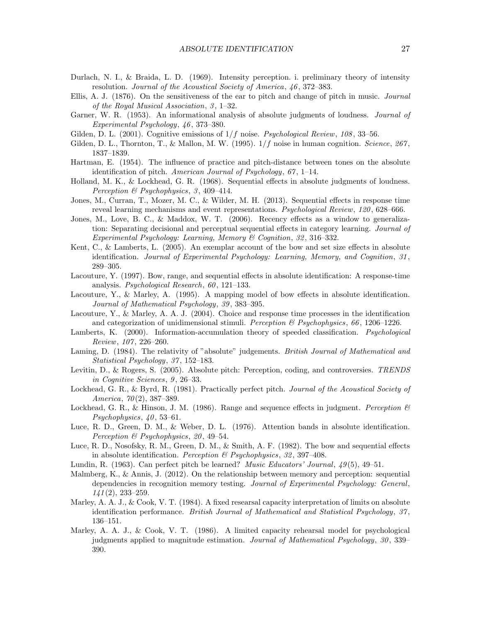- Durlach, N. I., & Braida, L. D. (1969). Intensity perception. i. preliminary theory of intensity resolution. Journal of the Acoustical Society of America, 46, 372–383.
- Ellis, A. J. (1876). On the sensitiveness of the ear to pitch and change of pitch in music. Journal of the Royal Musical Association,  $3, 1-32$ .
- Garner, W. R. (1953). An informational analysis of absolute judgments of loudness. Journal of Experimental Psychology, 46 , 373–380.
- Gilden, D. L. (2001). Cognitive emissions of  $1/f$  noise. Psychological Review, 108, 33–56.
- Gilden, D. L., Thornton, T., & Mallon, M. W. (1995).  $1/f$  noise in human cognition. Science, 267, 1837–1839.
- Hartman, E. (1954). The influence of practice and pitch-distance between tones on the absolute identification of pitch. American Journal of Psychology,  $67, 1-14$ .
- Holland, M. K., & Lockhead, G. R. (1968). Sequential effects in absolute judgments of loudness. Perception  $\mathcal B$  Psychophysics, 3, 409–414.
- Jones, M., Curran, T., Mozer, M. C., & Wilder, M. H. (2013). Sequential effects in response time reveal learning mechanisms and event representations. Psychological Review, 120 , 628–666.
- Jones, M., Love, B. C., & Maddox, W. T. (2006). Recency effects as a window to generalization: Separating decisional and perceptual sequential effects in category learning. Journal of Experimental Psychology: Learning, Memory & Cognition, 32 , 316–332.
- Kent, C., & Lamberts, L. (2005). An exemplar account of the bow and set size effects in absolute identification. Journal of Experimental Psychology: Learning, Memory, and Cognition, 31 , 289–305.
- Lacouture, Y. (1997). Bow, range, and sequential effects in absolute identification: A response-time analysis. Psychological Research, 60 , 121–133.
- Lacouture, Y., & Marley, A. (1995). A mapping model of bow effects in absolute identification. Journal of Mathematical Psychology, 39, 383-395.
- Lacouture, Y., & Marley, A. A. J. (2004). Choice and response time processes in the identification and categorization of unidimensional stimuli. Perception  $\mathcal B$  Psychophysics, 66, 1206–1226.
- Lamberts, K. (2000). Information-accumulation theory of speeded classification. *Psychological* Review, 107, 226-260.
- Laming, D. (1984). The relativity of "absolute" judgements. British Journal of Mathematical and Statistical Psychology, 37, 152–183.
- Levitin, D., & Rogers, S. (2005). Absolute pitch: Perception, coding, and controversies. TRENDS in Cognitive Sciences, 9, 26–33.
- Lockhead, G. R., & Byrd, R. (1981). Practically perfect pitch. Journal of the Acoustical Society of America,  $70(2)$ , 387-389.
- Lockhead, G. R., & Hinson, J. M. (1986). Range and sequence effects in judgment. *Perception*  $\mathscr{C}$  $Psychophysics, 40, 53–61.$
- Luce, R. D., Green, D. M., & Weber, D. L. (1976). Attention bands in absolute identification. Perception & Psychophysics, 20, 49-54.
- Luce, R. D., Nosofsky, R. M., Green, D. M., & Smith, A. F. (1982). The bow and sequential effects in absolute identification. Perception  $\mathcal B$  Psychophysics, 32, 397-408.
- Lundin, R. (1963). Can perfect pitch be learned? Music Educators' Journal,  $\mu$ 9(5), 49–51.
- Malmberg, K., & Annis, J. (2012). On the relationship between memory and perception: sequential dependencies in recognition memory testing. Journal of Experimental Psychology: General,  $141(2)$ , 233–259.
- Marley, A. A. J., & Cook, V. T. (1984). A fixed researsal capacity interpretation of limits on absolute identification performance. British Journal of Mathematical and Statistical Psychology, 37 , 136–151.
- Marley, A. A. J., & Cook, V. T. (1986). A limited capacity rehearsal model for psychological judgments applied to magnitude estimation. Journal of Mathematical Psychology, 30, 339– 390.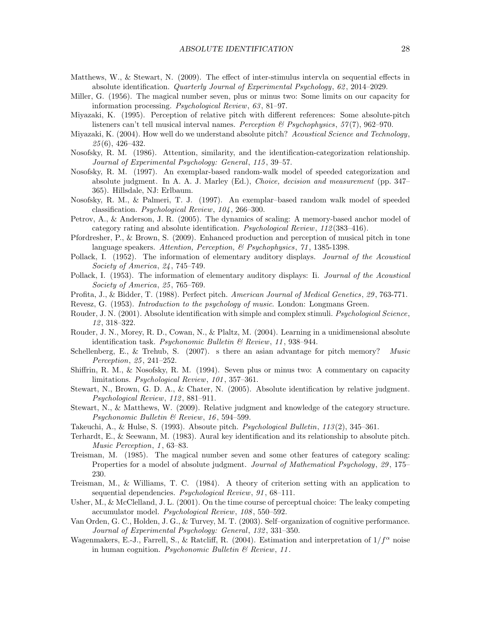- Matthews, W., & Stewart, N. (2009). The effect of inter-stimulus intervla on sequential effects in absolute identification. Quarterly Journal of Experimental Psychology, 62, 2014–2029.
- Miller, G. (1956). The magical number seven, plus or minus two: Some limits on our capacity for information processing. *Psychological Review*, 63, 81–97.
- Miyazaki, K. (1995). Perception of relative pitch with different references: Some absolute-pitch listeners can't tell musical interval names. Perception  $\mathcal B$  Psychophysics, 57(7), 962–970.
- Miyazaki, K. (2004). How well do we understand absolute pitch? Acoustical Science and Technology, 25 (6), 426–432.
- Nosofsky, R. M. (1986). Attention, similarity, and the identification-categorization relationship. Journal of Experimental Psychology: General, 115, 39-57.
- Nosofsky, R. M. (1997). An exemplar-based random-walk model of speeded categorization and absolute judgment. In A. A. J. Marley (Ed.), Choice, decision and measurement (pp. 347– 365). Hillsdale, NJ: Erlbaum.
- Nosofsky, R. M., & Palmeri, T. J. (1997). An exemplar–based random walk model of speeded classification. Psychological Review, 104 , 266–300.
- Petrov, A., & Anderson, J. R. (2005). The dynamics of scaling: A memory-based anchor model of category rating and absolute identification. Psychological Review, 112 (383–416).
- Pfordresher, P., & Brown, S. (2009). Enhanced production and perception of musical pitch in tone language speakers. Attention, Perception, & Psychophysics, 71 , 1385-1398.
- Pollack, I. (1952). The information of elementary auditory displays. Journal of the Acoustical Society of America, 24 , 745–749.
- Pollack, I. (1953). The information of elementary auditory displays: Ii. Journal of the Acoustical Society of America, 25 , 765–769.
- Profita, J., & Bidder, T. (1988). Perfect pitch. American Journal of Medical Genetics, 29, 763-771.

Revesz, G. (1953). Introduction to the psychology of music. London: Longmans Green.

- Rouder, J. N. (2001). Absolute identification with simple and complex stimuli. *Psychological Science*, 12 , 318–322.
- Rouder, J. N., Morey, R. D., Cowan, N., & Plaltz, M. (2004). Learning in a unidimensional absolute identification task. Psychonomic Bulletin  $\mathcal B$  Review, 11, 938–944.
- Schellenberg, E., & Trehub, S.  $(2007)$ . s there an asian advantage for pitch memory? Music Perception, 25 , 241–252.
- Shiffrin, R. M., & Nosofsky, R. M. (1994). Seven plus or minus two: A commentary on capacity limitations. Psychological Review, 101 , 357–361.
- Stewart, N., Brown, G. D. A., & Chater, N. (2005). Absolute identification by relative judgment. Psychological Review, 112, 881-911.
- Stewart, N., & Matthews, W. (2009). Relative judgment and knowledge of the category structure. Psychonomic Bulletin & Review, 16, 594-599.
- Takeuchi, A., & Hulse, S. (1993). Absoute pitch. *Psychological Bulletin*,  $113(2)$ ,  $345-361$ .
- Terhardt, E., & Seewann, M. (1983). Aural key identification and its relationship to absolute pitch. Music Perception, 1, 63-83.
- Treisman, M. (1985). The magical number seven and some other features of category scaling: Properties for a model of absolute judgment. Journal of Mathematical Psychology, 29, 175– 230.
- Treisman, M., & Williams, T. C. (1984). A theory of criterion setting with an application to sequential dependencies. Psychological Review, 91, 68-111.
- Usher, M., & McClelland, J. L. (2001). On the time course of perceptual choice: The leaky competing accumulator model. Psychological Review, 108 , 550–592.
- Van Orden, G. C., Holden, J. G., & Turvey, M. T. (2003). Self–organization of cognitive performance. Journal of Experimental Psychology: General, 132 , 331–350.
- Wagenmakers, E.-J., Farrell, S., & Ratcliff, R. (2004). Estimation and interpretation of  $1/f^{\alpha}$  noise in human cognition. Psychonomic Bulletin  $\mathcal B$  Review, 11.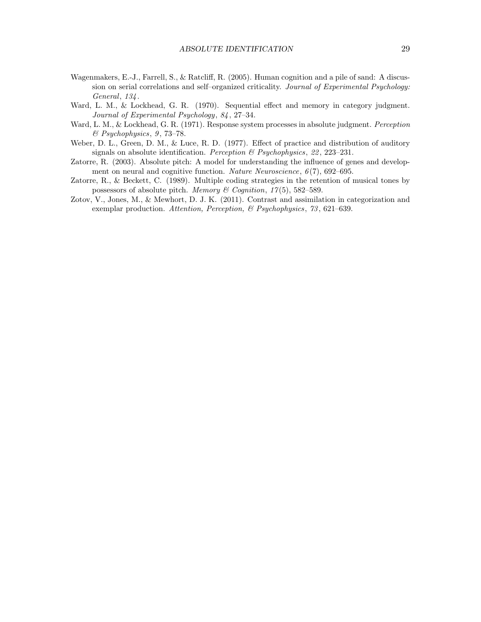- Wagenmakers, E.-J., Farrell, S., & Ratcliff, R. (2005). Human cognition and a pile of sand: A discussion on serial correlations and self-organized criticality. Journal of Experimental Psychology: General, 134 .
- Ward, L. M., & Lockhead, G. R. (1970). Sequential effect and memory in category judgment. Journal of Experimental Psychology, 84 , 27–34.
- Ward, L. M., & Lockhead, G. R. (1971). Response system processes in absolute judgment. Perception  $\mathcal B$  Psychophysics, 9, 73–78.
- Weber, D. L., Green, D. M., & Luce, R. D. (1977). Effect of practice and distribution of auditory signals on absolute identification. Perception  $\mathcal B$  Psychophysics, 22, 223–231.
- Zatorre, R. (2003). Absolute pitch: A model for understanding the influence of genes and development on neural and cognitive function. Nature Neuroscience,  $6(7)$ , 692–695.
- Zatorre, R., & Beckett, C. (1989). Multiple coding strategies in the retention of musical tones by possessors of absolute pitch. Memory & Cognition,  $17(5)$ , 582-589.
- Zotov, V., Jones, M., & Mewhort, D. J. K. (2011). Contrast and assimilation in categorization and exemplar production. Attention, Perception, & Psychophysics, 73 , 621–639.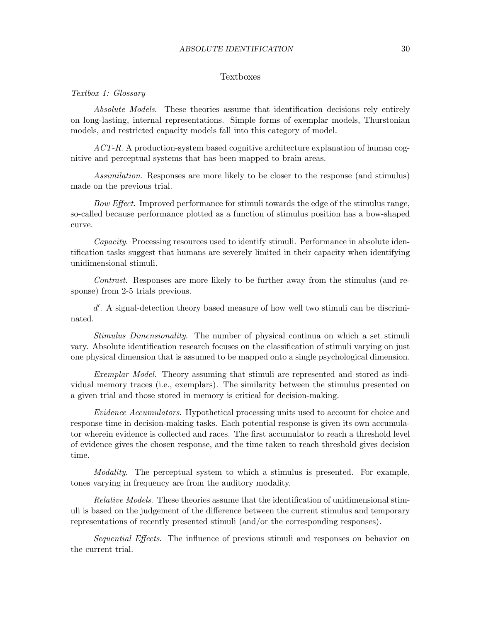## ABSOLUTE IDENTIFICATION 30

# **Textboxes**

## Textbox 1: Glossary

Absolute Models. These theories assume that identification decisions rely entirely on long-lasting, internal representations. Simple forms of exemplar models, Thurstonian models, and restricted capacity models fall into this category of model.

ACT-R. A production-system based cognitive architecture explanation of human cognitive and perceptual systems that has been mapped to brain areas.

Assimilation. Responses are more likely to be closer to the response (and stimulus) made on the previous trial.

Bow Effect. Improved performance for stimuli towards the edge of the stimulus range, so-called because performance plotted as a function of stimulus position has a bow-shaped curve.

Capacity. Processing resources used to identify stimuli. Performance in absolute identification tasks suggest that humans are severely limited in their capacity when identifying unidimensional stimuli.

Contrast. Responses are more likely to be further away from the stimulus (and response) from 2-5 trials previous.

d'. A signal-detection theory based measure of how well two stimuli can be discriminated.

Stimulus Dimensionality. The number of physical continua on which a set stimuli vary. Absolute identification research focuses on the classification of stimuli varying on just one physical dimension that is assumed to be mapped onto a single psychological dimension.

Exemplar Model. Theory assuming that stimuli are represented and stored as individual memory traces (i.e., exemplars). The similarity between the stimulus presented on a given trial and those stored in memory is critical for decision-making.

Evidence Accumulators. Hypothetical processing units used to account for choice and response time in decision-making tasks. Each potential response is given its own accumulator wherein evidence is collected and races. The first accumulator to reach a threshold level of evidence gives the chosen response, and the time taken to reach threshold gives decision time.

Modality. The perceptual system to which a stimulus is presented. For example, tones varying in frequency are from the auditory modality.

Relative Models. These theories assume that the identification of unidimensional stimuli is based on the judgement of the difference between the current stimulus and temporary representations of recently presented stimuli (and/or the corresponding responses).

Sequential Effects. The influence of previous stimuli and responses on behavior on the current trial.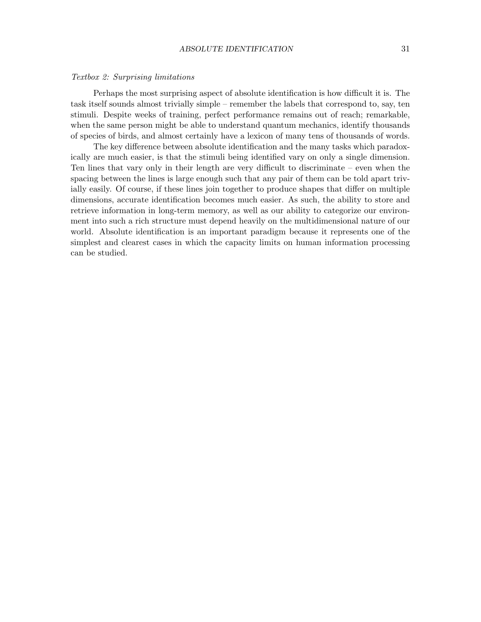#### Textbox 2: Surprising limitations

Perhaps the most surprising aspect of absolute identification is how difficult it is. The task itself sounds almost trivially simple – remember the labels that correspond to, say, ten stimuli. Despite weeks of training, perfect performance remains out of reach; remarkable, when the same person might be able to understand quantum mechanics, identify thousands of species of birds, and almost certainly have a lexicon of many tens of thousands of words.

The key difference between absolute identification and the many tasks which paradoxically are much easier, is that the stimuli being identified vary on only a single dimension. Ten lines that vary only in their length are very difficult to discriminate – even when the spacing between the lines is large enough such that any pair of them can be told apart trivially easily. Of course, if these lines join together to produce shapes that differ on multiple dimensions, accurate identification becomes much easier. As such, the ability to store and retrieve information in long-term memory, as well as our ability to categorize our environment into such a rich structure must depend heavily on the multidimensional nature of our world. Absolute identification is an important paradigm because it represents one of the simplest and clearest cases in which the capacity limits on human information processing can be studied.